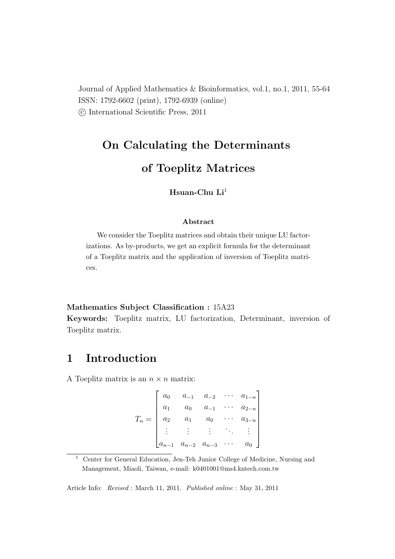Journal of Applied Mathematics & Bioinformatics, vol.1, no.1, 2011, 55-64 ISSN: 1792-6602 (print), 1792-6939 (online) °c International Scientific Press, 2011

# On Calculating the Determinants

### of Toeplitz Matrices

### Hsuan-Chu  $Li<sup>1</sup>$

#### Abstract

We consider the Toeplitz matrices and obtain their unique LU factorizations. As by-products, we get an explicit formula for the determinant of a Toeplitz matrix and the application of inversion of Toeplitz matrices.

#### Mathematics Subject Classification : 15A23

Keywords: Toeplitz matrix, LU factorization, Determinant, inversion of Toeplitz matrix.

## 1 Introduction

A Toeplitz matrix is an  $n \times n$  matrix:

|         | $a_0$     |                     | $a_{-1}$ $a_{-2}$ | $a_{1-n}$ |
|---------|-----------|---------------------|-------------------|-----------|
|         | $a_1$     | $a_0$               | $a_{-1}$          | $a_{2-n}$ |
| $T_n =$ | $a_2$     | $\overline{a_1}$    | $a_0$             | $a_{3-n}$ |
|         |           |                     |                   |           |
|         | $a_{n-1}$ | $a_{n-2}$ $a_{n-3}$ |                   | $a_0$     |

<sup>&</sup>lt;sup>1</sup> Center for General Education, Jen-Teh Junior College of Medicine, Nursing and Management, Miaoli, Taiwan, e-mail: k0401001@ms4.kntech.com.tw

Article Info: Revised : March 11, 2011. Published online : May 31, 2011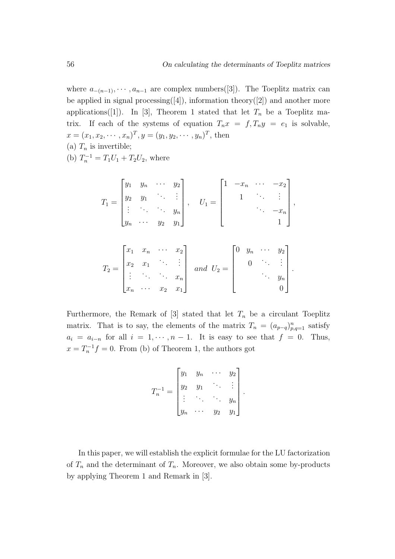where  $a_{-(n-1)}, \dots, a_{n-1}$  are complex numbers([3]). The Toeplitz matrix can be applied in signal processing([4]), information theory([2]) and another more applications([1]). In [3], Theorem 1 stated that let  $T_n$  be a Toeplitz matrix. If each of the systems of equation  $T_n x = f, T_n y = e_1$  is solvable,  $x = (x_1, x_2, \dots, x_n)^T, y = (y_1, y_2, \dots, y_n)^T$ , then (a)  $T_n$  is invertible;

(b)  $T_n^{-1} = T_1 U_1 + T_2 U_2$ , where

$$
T_1 = \begin{bmatrix} y_1 & y_n & \cdots & y_2 \\ y_2 & y_1 & \ddots & \vdots \\ \vdots & \ddots & \ddots & y_n \\ y_n & \cdots & y_2 & y_1 \end{bmatrix}, \quad U_1 = \begin{bmatrix} 1 & -x_n & \cdots & -x_2 \\ & 1 & \ddots & \vdots \\ & & \ddots & -x_n \\ & & & 1 \end{bmatrix},
$$

$$
T_2 = \begin{bmatrix} x_1 & x_n & \cdots & x_2 \\ x_2 & x_1 & \cdots & \vdots \\ \vdots & \cdots & \cdots & x_n \\ x_n & \cdots & x_2 & x_1 \end{bmatrix} \text{ and } U_2 = \begin{bmatrix} 0 & y_n & \cdots & y_2 \\ & 0 & \cdots & \vdots \\ & & \ddots & y_n \\ & & & 0 \end{bmatrix}.
$$

Furthermore, the Remark of  $[3]$  stated that let  $T_n$  be a circulant Toeplitz matrix. That is to say, the elements of the matrix  $T_n = (a_{p-q})_{p,q=1}^n$  satisfy  $a_i = a_{i-n}$  for all  $i = 1, \dots, n-1$ . It is easy to see that  $f = 0$ . Thus,  $x = T_n^{-1}f = 0$ . From (b) of Theorem 1, the authors got

$$
T_n^{-1} = \begin{bmatrix} y_1 & y_n & \cdots & y_2 \\ y_2 & y_1 & \ddots & \vdots \\ \vdots & \ddots & \ddots & y_n \\ y_n & \cdots & y_2 & y_1 \end{bmatrix}.
$$

In this paper, we will establish the explicit formulae for the LU factorization of  $T_n$  and the determinant of  $T_n$ . Moreover, we also obtain some by-products by applying Theorem 1 and Remark in [3].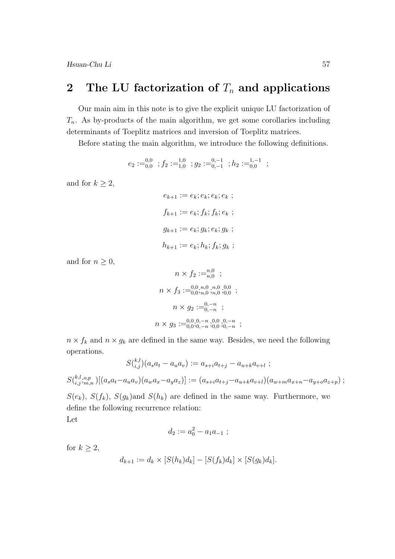Hsuan-Chu Li 57

## 2 The LU factorization of  $T_n$  and applications

Our main aim in this note is to give the explicit unique LU factorization of  $T_n$ . As by-products of the main algorithm, we get some corollaries including determinants of Toeplitz matrices and inversion of Toeplitz matrices.

Before stating the main algorithm, we introduce the following definitions.

$$
e_2 := ^{0,0}_{0,0} \; ; f_2 := ^{1,0}_{1,0} \; ; g_2 := ^{0,-1}_{0,-1} \; ; h_2 := ^{1,-1}_{0,0} \; ;
$$

and for  $k \geq 2$ ,

$$
e_{k+1} := e_k; e_k; e_k; e_k ;
$$
  

$$
f_{k+1} := e_k; f_k; f_k; e_k ;
$$
  

$$
g_{k+1} := e_k; g_k; e_k; g_k ;
$$
  

$$
h_{k+1} := e_k; h_k; f_k; g_k ;
$$

and for  $n \geq 0$ ,

$$
n \times f_2 :=_{n,0}^{n,0};
$$
  
\n
$$
n \times f_3 :=_{0,0,n,0}^{0,0,n,0,n,0,0,0,0};
$$
  
\n
$$
n \times g_2 :=_{0,-n}^{0,-n};
$$
  
\n
$$
n \times g_3 :=_{0,0,0,-n,0,0,0,-n}^{0,0,0,-n,0,0,0,-n};
$$

 $n \times f_k$  and  $n \times g_k$  are defined in the same way. Besides, we need the following operations.

$$
S\binom{k,l}{i,j}(a_s a_t - a_u a_v) := a_{s+i}a_{t+j} - a_{u+k}a_{v+l} ;
$$

$$
S({}^{k,l,o,p}_{i,j;m,n})[(a_sa_t-a_ua_v)(a_wa_x-a_ya_z)] := (a_{s+i}a_{t+j}-a_{u+k}a_{v+l})(a_{w+m}a_{x+n}-a_{y+o}a_{z+p}) ;
$$

 $S(e_k)$ ,  $S(f_k)$ ,  $S(g_k)$  and  $S(h_k)$  are defined in the same way. Furthermore, we define the following recurrence relation:

Let

$$
d_2 := a_0^2 - a_1 a_{-1} ;
$$

for  $k \geq 2$ ,

$$
d_{k+1} := d_k \times [S(h_k)d_k] - [S(f_k)d_k] \times [S(g_k)d_k].
$$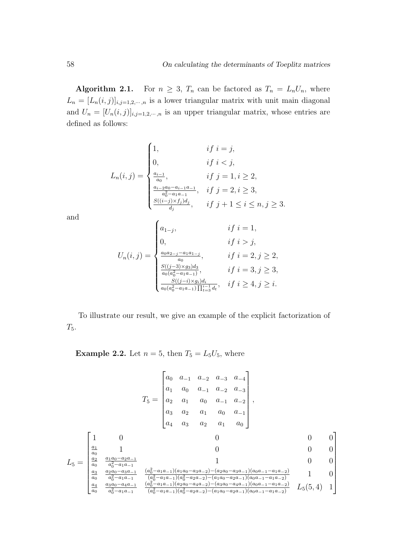Algorithm 2.1. For  $n \geq 3$ ,  $T_n$  can be factored as  $T_n = L_n U_n$ , where  $L_n = [L_n(i,j)]_{i,j=1,2,\cdots,n}$  is a lower triangular matrix with unit main diagonal and  $U_n = [U_n(i,j)]_{i,j=1,2,\cdots,n}$  is an upper triangular matrix, whose entries are defined as follows:

$$
L_n(i,j) = \begin{cases} 1, & if \ i = j, \\ 0, & if \ i < j, \\ \frac{a_{i-1}}{a_0}, & if \ j = 1, i \ge 2, \\ \frac{a_{i-2}a_0 - a_{i-1}a_{-1}}{a_0^2 - a_1a_{-1}}, & if \ j = 2, i \ge 3, \\ \frac{S((i-j) \times f_j)d_j}{d_j}, & if \ j+1 \le i \le n, j \ge 3. \end{cases}
$$

and

$$
U_n(i,j) = \begin{cases} a_{1-j}, & if i = 1, \\ 0, & if i > j, \\ \frac{a_0 a_{2-j} - a_1 a_{1-j}}{a_0}, & if i = 2, j \ge 2, \\ \frac{S((j-3) \times g_3) d_3}{a_0 (a_0^2 - a_1 a_{-1})}, & if i = 3, j \ge 3, \\ \frac{S((j-i) \times g_i) d_i}{a_0 (a_0^2 - a_1 a_{-1}) \prod_{i=3}^{i-1} d_i}, & if i \ge 4, j \ge i. \end{cases}
$$

To illustrate our result, we give an example of the explicit factorization of  $T_5$ .

**Example 2.2.** Let  $n = 5$ , then  $T_5 = L_5U_5$ , where

$$
L_5 = \begin{bmatrix} 1 & 0 & a_{-1} & a_{-2} & a_{-3} & a_{-4} \\ a_1 & a_0 & a_{-1} & a_{-2} & a_{-3} \\ a_2 & a_1 & a_0 & a_{-1} & a_{-2} \\ a_3 & a_2 & a_1 & a_0 & a_{-1} \\ a_4 & a_3 & a_2 & a_1 & a_0 \end{bmatrix},
$$
  
\n
$$
L_5 = \begin{bmatrix} 1 & 0 & 0 & 0 & 0 \\ \frac{a_1}{a_0} & 1 & 0 & 0 & 0 \\ \frac{a_2}{a_0} & \frac{a_1a_0 - a_2a_{-1}}{a_0^2 - a_1a_{-1}} & 1 & 0 & 0 \\ \frac{a_3}{a_0} & \frac{a_2a_0 - a_3a_{-1}}{a_0^2 - a_1a_{-1}} & \frac{(a_0^2 - a_1a_{-1})(a_1a_0 - a_3a_{-2}) - (a_2a_0 - a_3a_{-1})(a_0a_{-1} - a_1a_{-2})}{(a_0^2 - a_1a_{-1})(a_0^2 - a_2a_{-2}) - (a_1a_0 - a_2a_{-1})(a_0a_{-1} - a_1a_{-2})} & 1 & 0 \\ \frac{a_4}{a_0} & \frac{a_3a_0 - a_4a_{-1}}{a_0^2 - a_1a_{-1}} & \frac{(a_0^2 - a_1a_{-1})(a_0^2 - a_2a_{-2}) - (a_1a_0 - a_2a_{-1})(a_0a_{-1} - a_1a_{-2})}{(a_0^2 - a_1a_{-1})(a_0^2 - a_2a_{-2}) - (a_1a_0 - a_2a_{-1})(a_0a_{-1} - a_1a_{-2})} & L_5(5, 4) & 1 \end{bmatrix}
$$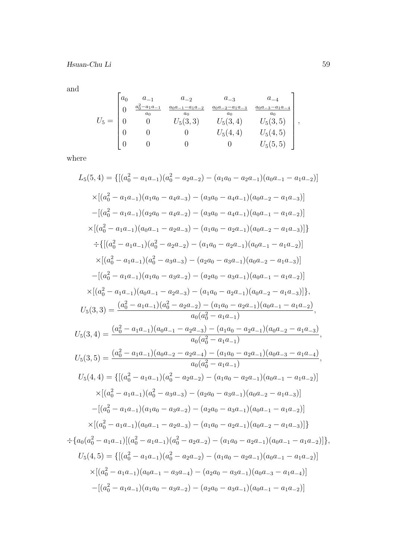$\quad \hbox{and}$ 

$$
U_5 = \begin{bmatrix} a_0 & a_{-1} & a_{-2} & a_{-3} & a_{-4} \\ 0 & \frac{a_0^2 - a_1 a_{-1}}{a_0} & \frac{a_0 a_{-1} - a_1 a_{-2}}{a_0} & \frac{a_0 a_{-2} - a_1 a_{-3}}{a_0} & \frac{a_0 a_{-3} - a_1 a_{-4}}{a_0} \\ 0 & 0 & U_5(3,3) & U_5(3,4) & U_5(3,5) \\ 0 & 0 & 0 & U_5(4,4) & U_5(4,5) \\ 0 & 0 & 0 & 0 & U_5(5,5) \end{bmatrix},
$$

where

$$
L_{5}(5,4) = \{[(a_{0}^{2} - a_{1}a_{-1})(a_{0}^{2} - a_{2}a_{-2}) - (a_{1}a_{0} - a_{2}a_{-1})(a_{0}a_{-1} - a_{1}a_{-2})] \times \left[(a_{0}^{2} - a_{1}a_{-1})(a_{1}a_{0} - a_{4}a_{-3}) - (a_{3}a_{0} - a_{4}a_{-1})(a_{0}a_{-2} - a_{1}a_{-3})]\right]
$$
  
\n
$$
-[(a_{0}^{2} - a_{1}a_{-1})(a_{2}a_{0} - a_{4}a_{-2}) - (a_{3}a_{0} - a_{4}a_{-1})(a_{0}a_{-1} - a_{1}a_{-2})] \times \left[(a_{0}^{2} - a_{1}a_{-1})(a_{0}a_{-1} - a_{2}a_{-3}) - (a_{1}a_{0} - a_{2}a_{-1})(a_{0}a_{-2} - a_{1}a_{-3})]\right]
$$
  
\n
$$
\div \{[(a_{0}^{2} - a_{1}a_{-1})(a_{0}^{2} - a_{2}a_{-2}) - (a_{1}a_{0} - a_{2}a_{-1})(a_{0}a_{-1} - a_{1}a_{-2})]\right]
$$
  
\n
$$
\times \left[(a_{0}^{2} - a_{1}a_{-1})(a_{0}^{2} - a_{3}a_{-3}) - (a_{2}a_{0} - a_{3}a_{-1})(a_{0}a_{-2} - a_{1}a_{-3})]\right]
$$
  
\n
$$
-[(a_{0}^{2} - a_{1}a_{-1})(a_{1}a_{0} - a_{3}a_{-2}) - (a_{2}a_{0} - a_{3}a_{-1})(a_{0}a_{-1} - a_{1}a_{-2})]\right]
$$
  
\n
$$
\times \left[(a_{0}^{2} - a_{1}a_{-1})(a_{0}a_{-1} - a_{2}a_{-3}) - (a_{1}a_{0} - a_{2}a_{-1})(a_{0}a_{-2} - a_{1}a_{-3})]\right],
$$
  
\n
$$
U_{5}(3,3) = \frac{(a_{0}^{2} - a_{1}a_{-1})(a_{0}a_{-1} - a_{2}
$$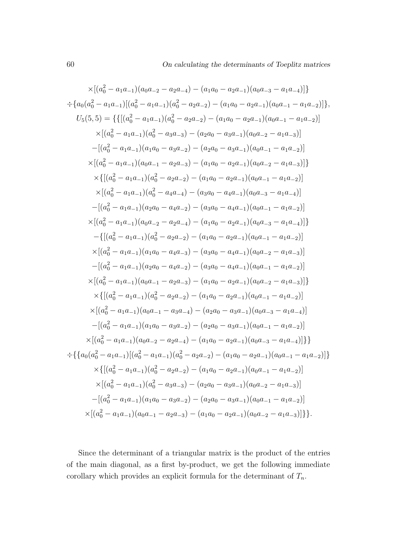$$
\times \left[ (a_0^2 - a_1 a_{-1}) (a_0 a_{-2} - a_2 a_{-4}) - (a_1 a_0 - a_2 a_{-1}) (a_0 a_{-3} - a_1 a_{-4}) \right] \right\}
$$
  
\n
$$
\div \left\{ a_0 (a_0^2 - a_1 a_{-1}) [(a_0^2 - a_1 a_{-1}) (a_0^2 - a_2 a_{-2}) - (a_1 a_0 - a_2 a_{-1}) (a_0 a_{-1} - a_1 a_{-2}) ] \right\},
$$
  
\n
$$
U_5(5,5) = \left\{ \left\{ \left[ (a_0^2 - a_1 a_{-1}) (a_0^2 - a_2 a_{-2}) - (a_1 a_0 - a_2 a_{-1}) (a_0 a_{-1} - a_1 a_{-2}) \right] \right\}
$$
  
\n
$$
\times \left[ (a_0^2 - a_1 a_{-1}) (a_1 a_0 - a_3 a_{-2}) - (a_2 a_0 - a_3 a_{-1}) (a_0 a_{-2} - a_1 a_{-3}) \right] \right\}
$$
  
\n
$$
\times \left[ (a_0^2 - a_1 a_{-1}) (a_0 a_{-1} - a_2 a_{-3}) - (a_1 a_0 - a_2 a_{-1}) (a_0 a_{-2} - a_1 a_{-3}) \right] \right\}
$$
  
\n
$$
\times \left[ (a_0^2 - a_1 a_{-1}) (a_0^2 - a_2 a_{-2}) - (a_1 a_0 - a_2 a_{-1}) (a_0 a_{-2} - a_1 a_{-3}) \right] \right\}
$$
  
\n
$$
\times \left[ (a_0^2 - a_1 a_{-1}) (a_0^2 - a_4 a_{-4}) - (a_3 a_0 - a_4 a_{-1}) (a_0 a_{-3} - a_1 a_{-4}) \right]
$$
  
\n
$$
- \left[ (a_0^2 - a_1 a_{-1}) (a_2 a_0 - a_4 a_{-2}) - (a_3 a_0 - a_4 a_{-1}) (a_0 a_{-3} - a_1 a_{-4}) \right] \right\}
$$
  
\n
$$
\times \left[ (a_0^2 - a_1 a_{-1}) (a_0 a_{
$$

Since the determinant of a triangular matrix is the product of the entries of the main diagonal, as a first by-product, we get the following immediate corollary which provides an explicit formula for the determinant of  $T_n$ .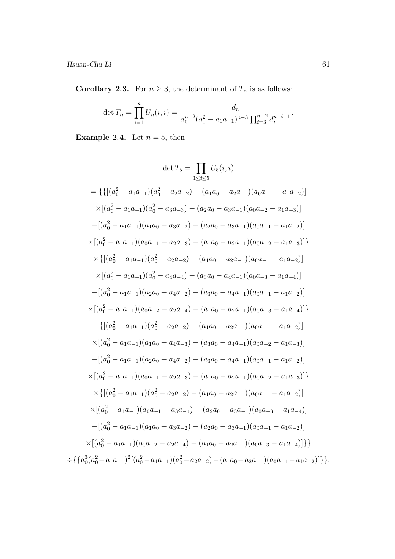$\it Hsuan-Chu$   $\it Li$ 

**Corollary 2.3.** For  $n \geq 3$ , the determinant of  $T_n$  is as follows:

$$
\det T_n = \prod_{i=1}^n U_n(i, i) = \frac{d_n}{a_0^{n-2} (a_0^2 - a_1 a_{-1})^{n-3} \prod_{i=3}^{n-2} d_i^{n-i-1}}.
$$

**Example 2.4.** Let  $n = 5$ , then

$$
\det T_5 = \prod_{1 \le i \le 5} U_5(i, i)
$$
  
\n
$$
= \{ \{ [(a_0^2 - a_1a_{-1})(a_0^2 - a_2a_{-2}) - (a_1a_0 - a_2a_{-1})(a_0a_{-1} - a_1a_{-2})] \times [(a_0^2 - a_1a_{-1})(a_0^2 - a_3a_{-3}) - (a_2a_0 - a_3a_{-1})(a_0a_{-2} - a_1a_{-3})] \} \times [(a_0^2 - a_1a_{-1})(a_1a_0 - a_3a_{-2}) - (a_2a_0 - a_3a_{-1})(a_0a_{-1} - a_1a_{-2})] \times [(a_0^2 - a_1a_{-1})(a_0a_{-1} - a_2a_{-3}) - (a_1a_0 - a_2a_{-1})(a_0a_{-2} - a_1a_{-3})] \} \times \{ [(a_0^2 - a_1a_{-1})(a_0^2 - a_2a_{-2}) - (a_1a_0 - a_2a_{-1})(a_0a_{-1} - a_1a_{-2})] \times [(a_0^2 - a_1a_{-1})(a_0^2 - a_4a_{-4}) - (a_3a_0 - a_4a_{-1})(a_0a_{-3} - a_1a_{-4})] \} \times [(a_0^2 - a_1a_{-1})(a_2a_0 - a_4a_{-2}) - (a_3a_0 - a_4a_{-1})(a_0a_{-3} - a_1a_{-4})] \times [(a_0^2 - a_1a_{-1})(a_0a_{-2} - a_2a_{-4}) - (a_1a_0 - a_2a_{-1})(a_0a_{-3} - a_1a_{-4})] \} \times [(a_0^2 - a_1a_{-1})(a_0^2 - a_2a_{-2}) - (a_1a_0 - a_2a_{-1})(a_0a_{-1} - a_1a_{-2})] \times [(a_0^2 - a_1a_{-1})(a_0^2 - a_2a_{-2}) - (a_1a_0 - a_2a_{-1})(a_0a_{-2} - a_1a_{-3})] \times [(a_0^2 - a_1a_{-1})(a_0a_{-1} - a_2a_{-3}) - (a_3a_0 -
$$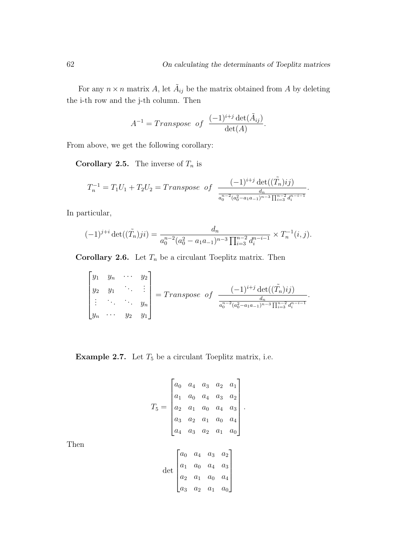For any  $n \times n$  matrix A, let  $\tilde{A}_{ij}$  be the matrix obtained from A by deleting the i-th row and the j-th column. Then

$$
A^{-1} = Transpose \ of \ \frac{(-1)^{i+j} \det(\tilde{A}_{ij})}{\det(A)}.
$$

From above, we get the following corollary:

**Corollary 2.5.** The inverse of  $T_n$  is

$$
T_n^{-1} = T_1 U_1 + T_2 U_2 = Transpose \ of \ \frac{(-1)^{i+j} \det((\tilde{T}_n)ij)}{\frac{d_n}{a_0^{n-2}(a_0^2 - a_1 a_{-1})^{n-3} \prod_{i=3}^{n-2} d_i^{n-i-1}}}.
$$

In particular,

$$
(-1)^{j+i} \det((\tilde{T}_n)ji) = \frac{d_n}{a_0^{n-2}(a_0^2 - a_1 a_{-1})^{n-3} \prod_{i=3}^{n-2} d_i^{n-i-1}} \times T_n^{-1}(i,j).
$$

**Corollary 2.6.** Let  $T_n$  be a circulant Toeplitz matrix. Then

$$
\begin{bmatrix} y_1 & y_n & \cdots & y_2 \\ y_2 & y_1 & & \vdots \\ \vdots & \ddots & \ddots & y_n \\ y_n & \cdots & y_2 & y_1 \end{bmatrix} = Transpose of \frac{(-1)^{i+j} \det((\tilde{T}_n)ij)}{\frac{d_n}{a_0^{n-2} (a_0^2 - a_1 a_{-1})^{n-3} \prod_{i=3}^{n-2} d_i^{n-i-1}}}.
$$

**Example 2.7.** Let  $T_5$  be a circulant Toeplitz matrix, i.e.

$$
T_5 = \begin{bmatrix} a_0 & a_4 & a_3 & a_2 & a_1 \\ a_1 & a_0 & a_4 & a_3 & a_2 \\ a_2 & a_1 & a_0 & a_4 & a_3 \\ a_3 & a_2 & a_1 & a_0 & a_4 \\ a_4 & a_3 & a_2 & a_1 & a_0 \end{bmatrix}.
$$

$$
\det \begin{bmatrix} a_0 & a_4 & a_3 & a_2 \\ a_1 & a_0 & a_4 & a_3 \\ a_2 & a_1 & a_0 & a_4 \end{bmatrix}.
$$

 $a_3$   $a_2$   $a_1$   $a_0$ 

Then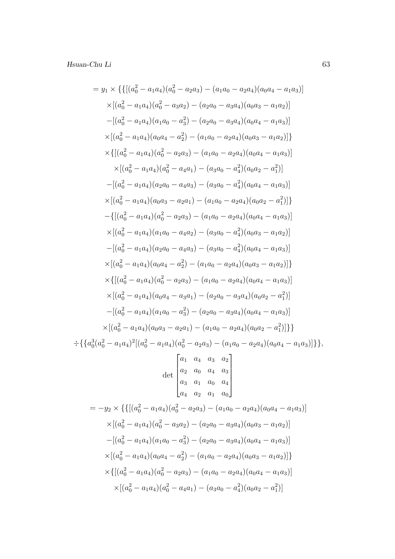$$
= y_1 \times \{ \{ [ (a_0^2 - a_1a_4)(a_0^2 - a_2a_3) - (a_1a_0 - a_2a_4)(a_0a_4 - a_1a_3) ] \}
$$
  
\n
$$
\times [(a_0^2 - a_1a_4)(a_0^2 - a_3a_2) - (a_2a_0 - a_3a_4)(a_0a_3 - a_1a_2)]
$$
  
\n
$$
-[(a_0^2 - a_1a_4)(a_1a_0 - a_3^2) - (a_2a_0 - a_3a_4)(a_0a_4 - a_1a_3)]
$$
  
\n
$$
\times \{ [(a_0^2 - a_1a_4)(a_0^2 - a_2a_3) - (a_1a_0 - a_2a_4)(a_0a_3 - a_1a_2)] \}
$$
  
\n
$$
\times \{ [(a_0^2 - a_1a_4)(a_0^2 - a_2a_3) - (a_1a_0 - a_2a_4)(a_0a_4 - a_1a_3)]
$$
  
\n
$$
\times [(a_0^2 - a_1a_4)(a_0^2 - a_4a_1) - (a_3a_0 - a_4^2)(a_0a_2 - a_1^2)]
$$
  
\n
$$
- [(a_0^2 - a_1a_4)(a_2a_0 - a_4a_3) - (a_3a_0 - a_4^2)(a_0a_4 - a_1a_3)]
$$
  
\n
$$
\times [(a_0^2 - a_1a_4)(a_0a_3 - a_2a_1) - (a_1a_0 - a_2a_4)(a_0a_4 - a_1a_3)]
$$
  
\n
$$
\times [(a_0^2 - a_1a_4)(a_0a_3 - a_2a_1) - (a_1a_0 - a_2a_4)(a_0a_4 - a_1a_3)]
$$
  
\n
$$
\times [(a_0^2 - a_1a_4)(a_1a_0 - a_4a_2) - (a_3a_0 - a_4^2)(a_0a_3 - a_1a_2)]
$$
  
\n
$$
- [(a_0^2 - a_1a_4)(a_0a_4 - a_2^2) - (a_1a_0 - a_2a_
$$